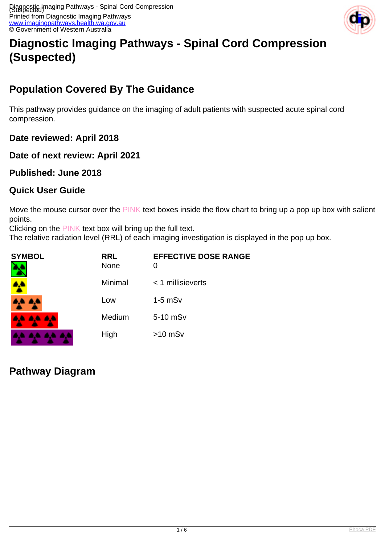

# **Diagnostic Imaging Pathways - Spinal Cord Compression (Suspected)**

# **Population Covered By The Guidance**

This pathway provides guidance on the imaging of adult patients with suspected acute spinal cord compression.

**Date reviewed: April 2018**

**Date of next review: April 2021**

**Published: June 2018**

#### **Quick User Guide**

Move the mouse cursor over the PINK text boxes inside the flow chart to bring up a pop up box with salient points.

Clicking on the PINK text box will bring up the full text.

The relative radiation level (RRL) of each imaging investigation is displayed in the pop up box.

| <b>SYMBOL</b> | <b>RRL</b><br><b>None</b> | <b>EFFECTIVE DOSE RANGE</b><br>0 |
|---------------|---------------------------|----------------------------------|
| W             | Minimal                   | $<$ 1 millisieverts              |
| 8.E           | Low                       | $1-5$ mS $v$                     |
| <b>AAAA</b>   | Medium                    | 5-10 mSv                         |
|               | High                      | $>10$ mSv                        |

# **Pathway Diagram**

. . . .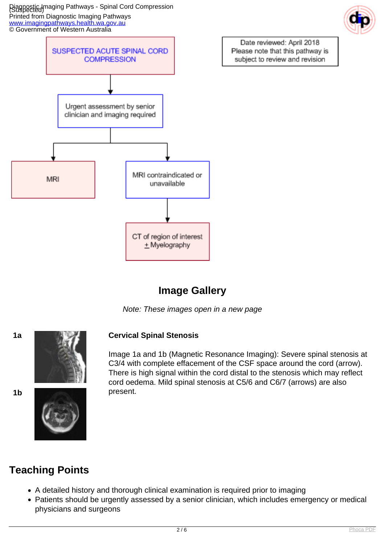Diagnostic Imaging Pathways - Spinal Cord Compression (Suspected) Printed from Diagnostic Imaging Pathways [www.imagingpathways.health.wa.gov.au](http://www.imagingpathways.health.wa.gov.au/) © Government of Western Australia



# **Image Gallery**

Note: These images open in a new page



#### **1a Cervical Spinal Stenosis**

Image 1a and 1b (Magnetic Resonance Imaging): Severe spinal stenosis at C3/4 with complete effacement of the CSF space around the cord (arrow). There is high signal within the cord distal to the stenosis which may reflect cord oedema. Mild spinal stenosis at C5/6 and C6/7 (arrows) are also



# **Teaching Points**

- A detailed history and thorough clinical examination is required prior to imaging
- Patients should be urgently assessed by a senior clinician, which includes emergency or medical physicians and surgeons



Date reviewed: April 2018

Please note that this pathway is

subject to review and revision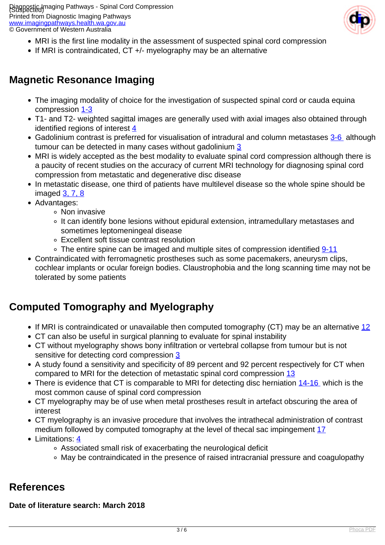Piagnostic Imaging Pathways - Spinal Cord Compression Printed from Diagnostic Imaging Pathways [www.imagingpathways.health.wa.gov.au](http://www.imagingpathways.health.wa.gov.au/) © Government of Western Australia



- MRI is the first line modality in the assessment of suspected spinal cord compression
- If MRI is contraindicated, CT +/- myelography may be an alternative

### **Magnetic Resonance Imaging**

- The imaging modality of choice for the investigation of suspected spinal cord or cauda equina compression [1-3](index.php?option=com_content&view=article&id=80&tab=references)
- T1- and T2- weighted sagittal images are generally used with axial images also obtained through identified regions of interest [4](index.php?option=com_content&view=article&id=80&tab=references)
- Gadolinium contrast is preferred for visualisation of intradural and column metastases [3-6](index.php?option=com_content&view=article&id=80&tab=references) although tumour can be detected in many cases without gadolinium [3](index.php?option=com_content&view=article&id=80&tab=references)
- MRI is widely accepted as the best modality to evaluate spinal cord compression although there is a paucity of recent studies on the accuracy of current MRI technology for diagnosing spinal cord compression from metastatic and degenerative disc disease
- In metastatic disease, one third of patients have multilevel disease so the whole spine should be imaged [3, 7, 8](index.php?option=com_content&view=article&id=80&tab=references)
- Advantages:
	- Non invasive
	- It can identify bone lesions without epidural extension, intramedullary metastases and sometimes leptomeningeal disease
	- Excellent soft tissue contrast resolution
	- $\circ$  The entire spine can be imaged and multiple sites of compression identified  $9-11$
- Contraindicated with ferromagnetic prostheses such as some pacemakers, aneurysm clips, cochlear implants or ocular foreign bodies. Claustrophobia and the long scanning time may not be tolerated by some patients

### **Computed Tomography and Myelography**

- If MRI is contraindicated or unavailable then computed tomography (CT) may be an alternative [12](index.php?option=com_content&view=article&id=80&tab=references)
- CT can also be useful in surgical planning to evaluate for spinal instability
- CT without myelography shows bony infiltration or vertebral collapse from tumour but is not sensitive for detecting cord compression [3](index.php?option=com_content&view=article&id=80&tab=references)
- A study found a sensitivity and specificity of 89 percent and 92 percent respectively for CT when compared to MRI for the detection of metastatic spinal cord compression [13](index.php?option=com_content&view=article&id=80&tab=references)
- There is evidence that CT is comparable to MRI for detecting disc herniation [14-16](index.php?option=com_content&view=article&id=80&tab=references) which is the most common cause of spinal cord compression
- CT myelography may be of use when metal prostheses result in artefact obscuring the area of interest
- CT myelography is an invasive procedure that involves the intrathecal administration of contrast medium followed by computed tomography at the level of thecal sac impingement [17](index.php?option=com_content&view=article&id=80&tab=references)
- Limitations: [4](index.php?option=com_content&view=article&id=80&tab=references)
	- Associated small risk of exacerbating the neurological deficit
	- May be contraindicated in the presence of raised intracranial pressure and coagulopathy

### **References**

#### **Date of literature search: March 2018**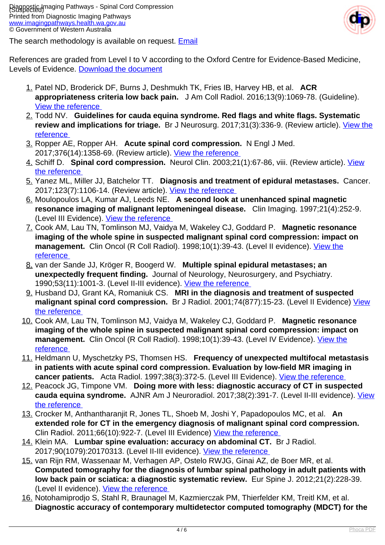

The search methodology is available on request. [Email](index.php/contact-us)

References are graded from Level I to V according to the Oxford Centre for Evidence-Based Medicine, Levels of Evidence. [Download the document](http://www.cebm.net/wp-content/uploads/2014/06/CEBM-Levels-of-Evidence-2.1.pdf)

- 1. Patel ND, Broderick DF, Burns J, Deshmukh TK, Fries IB, Harvey HB, et al. **ACR appropriateness criteria low back pain.** J Am Coll Radiol. 2016;13(9):1069-78. (Guideline). [View the reference](https://www.ncbi.nlm.nih.gov/pubmed/27496288 )
- 2. Todd NV. **Guidelines for cauda equina syndrome. Red flags and white flags. Systematic review and implications for triage.** Br J Neurosurg. 2017;31(3):336-9. (Review article). [View the](https://www.ncbi.nlm.nih.gov/pubmed/28637110 ) [reference](https://www.ncbi.nlm.nih.gov/pubmed/28637110 )
- 3. Ropper AE, Ropper AH. **Acute spinal cord compression.** N Engl J Med. 2017;376(14):1358-69. (Review article). [View the reference](https://www-ncbi-nlm-nih-gov.smhslibresources.health.wa.gov.au/pubmed/28379788?dopt=Abstract )
- 4. Schiff D. **Spinal cord compression.** Neurol Clin. 2003;21(1):67-86, viii. (Review article). [View](https://www.ncbi.nlm.nih.gov/pubmed/12690645 ) [the reference](https://www.ncbi.nlm.nih.gov/pubmed/12690645 )
- 5. Yanez ML, Miller JJ, Batchelor TT. **Diagnosis and treatment of epidural metastases.** Cancer. 2017;123(7):1106-14. (Review article). [View the reference](https://www.ncbi.nlm.nih.gov/pubmed/28026861 )
- 6. Moulopoulos LA, Kumar AJ, Leeds NE. **A second look at unenhanced spinal magnetic resonance imaging of malignant leptomeningeal disease.** Clin Imaging. 1997;21(4):252-9. (Level III Evidence). [View the reference](https://www.ncbi.nlm.nih.gov/pubmed/9215471 )
- 7. Cook AM, Lau TN, Tomlinson MJ, Vaidya M, Wakeley CJ, Goddard P. **Magnetic resonance imaging of the whole spine in suspected malignant spinal cord compression: impact on management.** Clin Oncol (R Coll Radiol). 1998;10(1):39-43. (Level II evidence). [View the](https://www.ncbi.nlm.nih.gov/pubmed/9543614 ) [reference](https://www.ncbi.nlm.nih.gov/pubmed/9543614 )
- 8. van der Sande JJ, Kröger R, Boogerd W. **Multiple spinal epidural metastases; an unexpectedly frequent finding.** Journal of Neurology, Neurosurgery, and Psychiatry. 1990;53(11):1001-3. (Level II-III evidence). [View the reference](http://www.ncbi.nlm.nih.gov/pmc/articles/PMC488285/ )
- 9. Husband DJ, Grant KA, Romaniuk CS. **MRI in the diagnosis and treatment of suspected** malignant spinal cord compression. Br J Radiol. 2001;74(877):15-23. (Level II Evidence) [View](http://www.ncbi.nlm.nih.gov/entrez/query.fcgi?cmd=Retrieve&db=pubmed&dopt=Abstract&list_uids=11227772 ) [the reference](http://www.ncbi.nlm.nih.gov/entrez/query.fcgi?cmd=Retrieve&db=pubmed&dopt=Abstract&list_uids=11227772 )
- 10. Cook AM, Lau TN, Tomlinson MJ, Vaidya M, Wakeley CJ, Goddard P. **Magnetic resonance imaging of the whole spine in suspected malignant spinal cord compression: impact on management.** Clin Oncol (R Coll Radiol). 1998;10(1):39-43. (Level IV Evidence). [View the](https://www.ncbi.nlm.nih.gov/pubmed/9543614 ) [reference](https://www.ncbi.nlm.nih.gov/pubmed/9543614 )
- 11. Heldmann U, Myschetzky PS, Thomsen HS. **Frequency of unexpected multifocal metastasis in patients with acute spinal cord compression. Evaluation by low-field MR imaging in cancer patients.** Acta Radiol. 1997;38(3):372-5. (Level III Evidence). [View the reference](https://www.ncbi.nlm.nih.gov/pubmed/9191426 )
- 12. Peacock JG, Timpone VM. **Doing more with less: diagnostic accuracy of CT in suspected cauda equina syndrome.** AJNR Am J Neuroradiol. 2017;38(2):391-7. (Level II-III evidence). [View](https://www.ncbi.nlm.nih.gov/pubmed/27789449 ) [the reference](https://www.ncbi.nlm.nih.gov/pubmed/27789449 )
- 13. Crocker M, Anthantharanjit R, Jones TL, Shoeb M, Joshi Y, Papadopoulos MC, et al. **An extended role for CT in the emergency diagnosis of malignant spinal cord compression.**  Clin Radiol. 2011;66(10):922-7. (Level III Evidence) [View the reference](https://www.ncbi.nlm.nih.gov/pubmed/21783183 )
- 14. Klein MA. **Lumbar spine evaluation: accuracy on abdominal CT.** Br J Radiol. 2017;90(1079):20170313. (Level II-III evidence). [View the reference](https://www.ncbi.nlm.nih.gov/pubmed/28830226 )
- 15. van Rijn RM, Wassenaar M, Verhagen AP, Ostelo RWJG, Ginai AZ, de Boer MR, et al. **Computed tomography for the diagnosis of lumbar spinal pathology in adult patients with low back pain or sciatica: a diagnostic systematic review.** Eur Spine J. 2012;21(2):228-39. (Level II evidence). [View the reference](http://www.ncbi.nlm.nih.gov/pmc/articles/PMC3265600/ )
- 16. Notohamiprodjo S, Stahl R, Braunagel M, Kazmierczak PM, Thierfelder KM, Treitl KM, et al. **Diagnostic accuracy of contemporary multidetector computed tomography (MDCT) for the**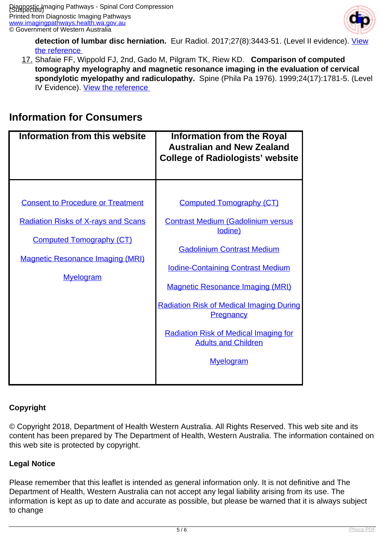

**detection of lumbar disc herniation.** Eur Radiol. 2017;27(8):3443-51. (Level II evidence). [View](https://www.ncbi.nlm.nih.gov/pubmed/27988890 ) [the reference](https://www.ncbi.nlm.nih.gov/pubmed/27988890 ) 

17. Shafaie FF, Wippold FJ, 2nd, Gado M, Pilgram TK, Riew KD. **Comparison of computed tomography myelography and magnetic resonance imaging in the evaluation of cervical spondylotic myelopathy and radiculopathy.** Spine (Phila Pa 1976). 1999;24(17):1781-5. (Level IV Evidence). View the reference

### **Information for Consumers**

| <b>Information from this website</b>                                                                                                                                                     | <b>Information from the Royal</b><br><b>Australian and New Zealand</b><br><b>College of Radiologists' website</b>                                                                                                                                                                                                                                                                            |
|------------------------------------------------------------------------------------------------------------------------------------------------------------------------------------------|----------------------------------------------------------------------------------------------------------------------------------------------------------------------------------------------------------------------------------------------------------------------------------------------------------------------------------------------------------------------------------------------|
| <b>Consent to Procedure or Treatment</b><br><b>Radiation Risks of X-rays and Scans</b><br><b>Computed Tomography (CT)</b><br><b>Magnetic Resonance Imaging (MRI)</b><br><b>Myelogram</b> | <b>Computed Tomography (CT)</b><br><b>Contrast Medium (Gadolinium versus</b><br>lodine)<br><b>Gadolinium Contrast Medium</b><br><b>Iodine-Containing Contrast Medium</b><br><b>Magnetic Resonance Imaging (MRI)</b><br><b>Radiation Risk of Medical Imaging During</b><br><b>Pregnancy</b><br><b>Radiation Risk of Medical Imaging for</b><br><b>Adults and Children</b><br><b>Myelogram</b> |

#### **Copyright**

© Copyright 2018, Department of Health Western Australia. All Rights Reserved. This web site and its content has been prepared by The Department of Health, Western Australia. The information contained on this web site is protected by copyright.

#### **Legal Notice**

Please remember that this leaflet is intended as general information only. It is not definitive and The Department of Health, Western Australia can not accept any legal liability arising from its use. The information is kept as up to date and accurate as possible, but please be warned that it is always subject to change